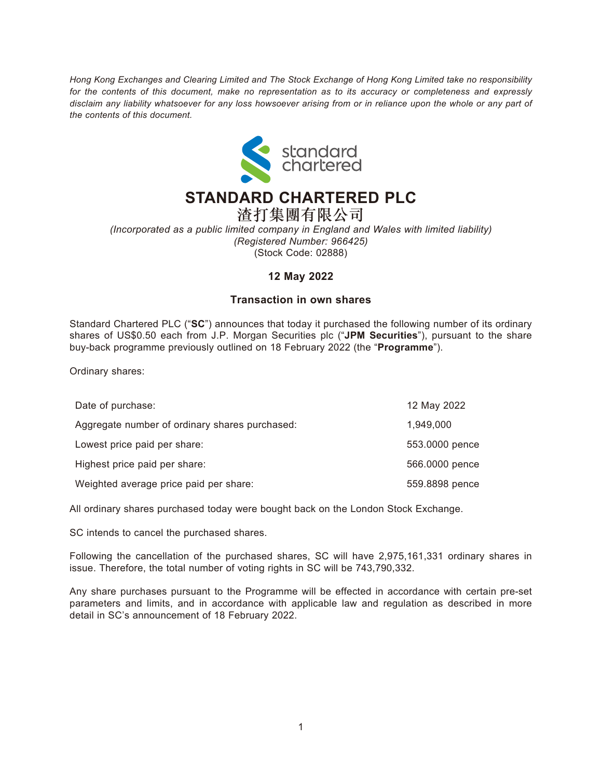*Hong Kong Exchanges and Clearing Limited and The Stock Exchange of Hong Kong Limited take no responsibility for the contents of this document, make no representation as to its accuracy or completeness and expressly disclaim any liability whatsoever for any loss howsoever arising from or in reliance upon the whole or any part of the contents of this document.*



## **STANDARD CHARTERED PLC**

渣打集團有限公司 *(Incorporated as a public limited company in England and Wales with limited liability) (Registered Number: 966425)* (Stock Code: 02888)

## **12 May 2022**

## **Transaction in own shares**

Standard Chartered PLC ("**SC**") announces that today it purchased the following number of its ordinary shares of US\$0.50 each from J.P. Morgan Securities plc ("**JPM Securities**"), pursuant to the share buy-back programme previously outlined on 18 February 2022 (the "**Programme**").

Ordinary shares:

| Date of purchase:                              | 12 May 2022    |
|------------------------------------------------|----------------|
| Aggregate number of ordinary shares purchased: | 1,949,000      |
| Lowest price paid per share:                   | 553.0000 pence |
| Highest price paid per share:                  | 566.0000 pence |
| Weighted average price paid per share:         | 559.8898 pence |

All ordinary shares purchased today were bought back on the London Stock Exchange.

SC intends to cancel the purchased shares.

Following the cancellation of the purchased shares, SC will have 2,975,161,331 ordinary shares in issue. Therefore, the total number of voting rights in SC will be 743,790,332.

Any share purchases pursuant to the Programme will be effected in accordance with certain pre-set parameters and limits, and in accordance with applicable law and regulation as described in more detail in SC's announcement of 18 February 2022.